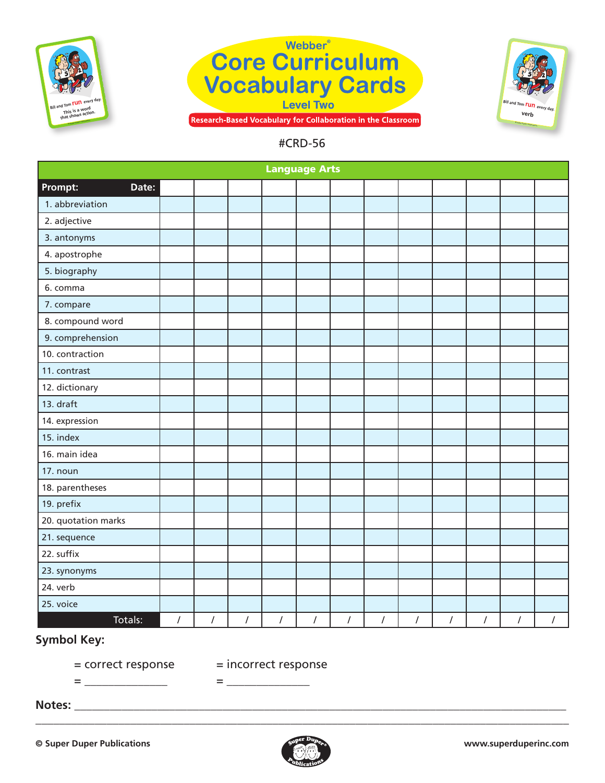





| <b>Language Arts</b> |            |                |                |                |                |                |            |                |                |            |                |          |
|----------------------|------------|----------------|----------------|----------------|----------------|----------------|------------|----------------|----------------|------------|----------------|----------|
| Prompt:<br>Date:     |            |                |                |                |                |                |            |                |                |            |                |          |
| 1. abbreviation      |            |                |                |                |                |                |            |                |                |            |                |          |
| 2. adjective         |            |                |                |                |                |                |            |                |                |            |                |          |
| 3. antonyms          |            |                |                |                |                |                |            |                |                |            |                |          |
| 4. apostrophe        |            |                |                |                |                |                |            |                |                |            |                |          |
| 5. biography         |            |                |                |                |                |                |            |                |                |            |                |          |
| 6. comma             |            |                |                |                |                |                |            |                |                |            |                |          |
| 7. compare           |            |                |                |                |                |                |            |                |                |            |                |          |
| 8. compound word     |            |                |                |                |                |                |            |                |                |            |                |          |
| 9. comprehension     |            |                |                |                |                |                |            |                |                |            |                |          |
| 10. contraction      |            |                |                |                |                |                |            |                |                |            |                |          |
| 11. contrast         |            |                |                |                |                |                |            |                |                |            |                |          |
| 12. dictionary       |            |                |                |                |                |                |            |                |                |            |                |          |
| 13. draft            |            |                |                |                |                |                |            |                |                |            |                |          |
| 14. expression       |            |                |                |                |                |                |            |                |                |            |                |          |
| 15. index            |            |                |                |                |                |                |            |                |                |            |                |          |
| 16. main idea        |            |                |                |                |                |                |            |                |                |            |                |          |
| 17. noun             |            |                |                |                |                |                |            |                |                |            |                |          |
| 18. parentheses      |            |                |                |                |                |                |            |                |                |            |                |          |
| 19. prefix           |            |                |                |                |                |                |            |                |                |            |                |          |
| 20. quotation marks  |            |                |                |                |                |                |            |                |                |            |                |          |
| 21. sequence         |            |                |                |                |                |                |            |                |                |            |                |          |
| 22. suffix           |            |                |                |                |                |                |            |                |                |            |                |          |
| 23. synonyms         |            |                |                |                |                |                |            |                |                |            |                |          |
| 24. verb             |            |                |                |                |                |                |            |                |                |            |                |          |
| 25. voice            |            |                |                |                |                |                |            |                |                |            |                |          |
| Totals:              | $\sqrt{ }$ | $\overline{I}$ | $\overline{I}$ | $\overline{I}$ | $\overline{I}$ | $\overline{1}$ | $\sqrt{ }$ | $\overline{I}$ | $\overline{I}$ | $\sqrt{2}$ | $\overline{1}$ | $\prime$ |

# **Symbol Key:**

= \_\_\_\_\_\_\_\_\_\_\_\_\_\_ = \_\_\_\_\_\_\_\_\_\_\_\_\_\_

= correct response = incorrect response

**Notes:** \_\_\_\_\_\_\_\_\_\_\_\_\_\_\_\_\_\_\_\_\_\_\_\_\_\_\_\_\_\_\_\_\_\_\_\_\_\_\_\_\_\_\_\_\_\_\_\_\_\_\_\_\_\_\_\_\_\_\_\_\_\_\_\_\_\_\_\_\_\_\_\_\_\_\_\_\_\_\_\_\_\_\_

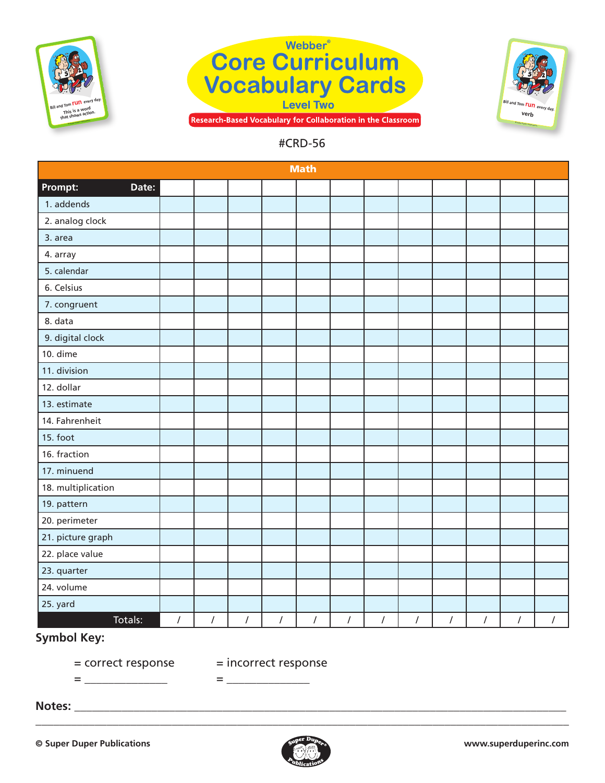





| <b>Math</b>        |                |                |                |                |            |                |                |                |                |                |            |                |
|--------------------|----------------|----------------|----------------|----------------|------------|----------------|----------------|----------------|----------------|----------------|------------|----------------|
| Prompt:<br>Date:   |                |                |                |                |            |                |                |                |                |                |            |                |
| 1. addends         |                |                |                |                |            |                |                |                |                |                |            |                |
| 2. analog clock    |                |                |                |                |            |                |                |                |                |                |            |                |
| 3. area            |                |                |                |                |            |                |                |                |                |                |            |                |
| 4. array           |                |                |                |                |            |                |                |                |                |                |            |                |
| 5. calendar        |                |                |                |                |            |                |                |                |                |                |            |                |
| 6. Celsius         |                |                |                |                |            |                |                |                |                |                |            |                |
| 7. congruent       |                |                |                |                |            |                |                |                |                |                |            |                |
| 8. data            |                |                |                |                |            |                |                |                |                |                |            |                |
| 9. digital clock   |                |                |                |                |            |                |                |                |                |                |            |                |
| 10. dime           |                |                |                |                |            |                |                |                |                |                |            |                |
| 11. division       |                |                |                |                |            |                |                |                |                |                |            |                |
| 12. dollar         |                |                |                |                |            |                |                |                |                |                |            |                |
| 13. estimate       |                |                |                |                |            |                |                |                |                |                |            |                |
| 14. Fahrenheit     |                |                |                |                |            |                |                |                |                |                |            |                |
| 15. foot           |                |                |                |                |            |                |                |                |                |                |            |                |
| 16. fraction       |                |                |                |                |            |                |                |                |                |                |            |                |
| 17. minuend        |                |                |                |                |            |                |                |                |                |                |            |                |
| 18. multiplication |                |                |                |                |            |                |                |                |                |                |            |                |
| 19. pattern        |                |                |                |                |            |                |                |                |                |                |            |                |
| 20. perimeter      |                |                |                |                |            |                |                |                |                |                |            |                |
| 21. picture graph  |                |                |                |                |            |                |                |                |                |                |            |                |
| 22. place value    |                |                |                |                |            |                |                |                |                |                |            |                |
| 23. quarter        |                |                |                |                |            |                |                |                |                |                |            |                |
| 24. volume         |                |                |                |                |            |                |                |                |                |                |            |                |
| 25. yard           |                |                |                |                |            |                |                |                |                |                |            |                |
| Totals:            | $\overline{1}$ | $\overline{1}$ | $\overline{1}$ | $\overline{1}$ | $\sqrt{ }$ | $\overline{I}$ | $\overline{I}$ | $\overline{I}$ | $\overline{I}$ | $\overline{I}$ | $\sqrt{ }$ | $\overline{I}$ |

### **Symbol Key:**

= \_\_\_\_\_\_\_\_\_\_\_\_\_\_ = \_\_\_\_\_\_\_\_\_\_\_\_\_\_

= correct response = incorrect response

**Notes:** \_\_\_\_\_\_\_\_\_\_\_\_\_\_\_\_\_\_\_\_\_\_\_\_\_\_\_\_\_\_\_\_\_\_\_\_\_\_\_\_\_\_\_\_\_\_\_\_\_\_\_\_\_\_\_\_\_\_\_\_\_\_\_\_\_\_\_\_\_\_\_\_\_\_\_\_\_\_\_\_\_\_\_

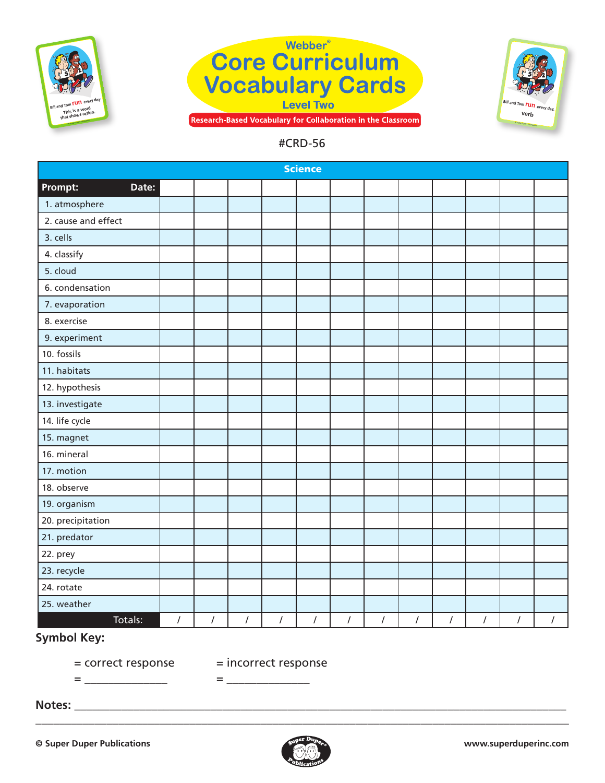





|                     |            |                |                |            | Science        |                |                |                |                |                |                |                |
|---------------------|------------|----------------|----------------|------------|----------------|----------------|----------------|----------------|----------------|----------------|----------------|----------------|
| Prompt:<br>Date:    |            |                |                |            |                |                |                |                |                |                |                |                |
| 1. atmosphere       |            |                |                |            |                |                |                |                |                |                |                |                |
| 2. cause and effect |            |                |                |            |                |                |                |                |                |                |                |                |
| 3. cells            |            |                |                |            |                |                |                |                |                |                |                |                |
| 4. classify         |            |                |                |            |                |                |                |                |                |                |                |                |
| 5. cloud            |            |                |                |            |                |                |                |                |                |                |                |                |
| 6. condensation     |            |                |                |            |                |                |                |                |                |                |                |                |
| 7. evaporation      |            |                |                |            |                |                |                |                |                |                |                |                |
| 8. exercise         |            |                |                |            |                |                |                |                |                |                |                |                |
| 9. experiment       |            |                |                |            |                |                |                |                |                |                |                |                |
| 10. fossils         |            |                |                |            |                |                |                |                |                |                |                |                |
| 11. habitats        |            |                |                |            |                |                |                |                |                |                |                |                |
| 12. hypothesis      |            |                |                |            |                |                |                |                |                |                |                |                |
| 13. investigate     |            |                |                |            |                |                |                |                |                |                |                |                |
| 14. life cycle      |            |                |                |            |                |                |                |                |                |                |                |                |
| 15. magnet          |            |                |                |            |                |                |                |                |                |                |                |                |
| 16. mineral         |            |                |                |            |                |                |                |                |                |                |                |                |
| 17. motion          |            |                |                |            |                |                |                |                |                |                |                |                |
| 18. observe         |            |                |                |            |                |                |                |                |                |                |                |                |
| 19. organism        |            |                |                |            |                |                |                |                |                |                |                |                |
| 20. precipitation   |            |                |                |            |                |                |                |                |                |                |                |                |
| 21. predator        |            |                |                |            |                |                |                |                |                |                |                |                |
| 22. prey            |            |                |                |            |                |                |                |                |                |                |                |                |
| 23. recycle         |            |                |                |            |                |                |                |                |                |                |                |                |
| 24. rotate          |            |                |                |            |                |                |                |                |                |                |                |                |
| 25. weather         |            |                |                |            |                |                |                |                |                |                |                |                |
| Totals:             | $\sqrt{ }$ | $\overline{1}$ | $\overline{1}$ | $\sqrt{ }$ | $\overline{1}$ | $\overline{I}$ | $\overline{1}$ | $\overline{I}$ | $\overline{I}$ | $\overline{1}$ | $\overline{1}$ | $\overline{1}$ |

# **Symbol Key:**

= \_\_\_\_\_\_\_\_\_\_\_\_\_\_ = \_\_\_\_\_\_\_\_\_\_\_\_\_\_

= correct response = incorrect response

**Notes:** \_\_\_\_\_\_\_\_\_\_\_\_\_\_\_\_\_\_\_\_\_\_\_\_\_\_\_\_\_\_\_\_\_\_\_\_\_\_\_\_\_\_\_\_\_\_\_\_\_\_\_\_\_\_\_\_\_\_\_\_\_\_\_\_\_\_\_\_\_\_\_\_\_\_\_\_\_\_\_\_\_\_\_

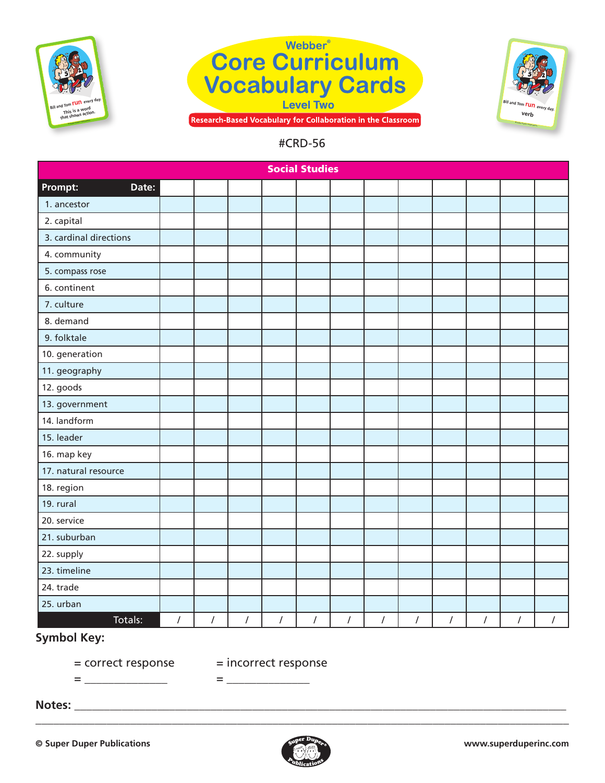





|                        |            |                |                |            | <b>Social Studies</b> |            |            |                |                |                |                |                      |
|------------------------|------------|----------------|----------------|------------|-----------------------|------------|------------|----------------|----------------|----------------|----------------|----------------------|
| Prompt:<br>Date:       |            |                |                |            |                       |            |            |                |                |                |                |                      |
| 1. ancestor            |            |                |                |            |                       |            |            |                |                |                |                |                      |
| 2. capital             |            |                |                |            |                       |            |            |                |                |                |                |                      |
| 3. cardinal directions |            |                |                |            |                       |            |            |                |                |                |                |                      |
| 4. community           |            |                |                |            |                       |            |            |                |                |                |                |                      |
| 5. compass rose        |            |                |                |            |                       |            |            |                |                |                |                |                      |
| 6. continent           |            |                |                |            |                       |            |            |                |                |                |                |                      |
| 7. culture             |            |                |                |            |                       |            |            |                |                |                |                |                      |
| 8. demand              |            |                |                |            |                       |            |            |                |                |                |                |                      |
| 9. folktale            |            |                |                |            |                       |            |            |                |                |                |                |                      |
| 10. generation         |            |                |                |            |                       |            |            |                |                |                |                |                      |
| 11. geography          |            |                |                |            |                       |            |            |                |                |                |                |                      |
| 12. goods              |            |                |                |            |                       |            |            |                |                |                |                |                      |
| 13. government         |            |                |                |            |                       |            |            |                |                |                |                |                      |
| 14. landform           |            |                |                |            |                       |            |            |                |                |                |                |                      |
| 15. leader             |            |                |                |            |                       |            |            |                |                |                |                |                      |
| 16. map key            |            |                |                |            |                       |            |            |                |                |                |                |                      |
| 17. natural resource   |            |                |                |            |                       |            |            |                |                |                |                |                      |
| 18. region             |            |                |                |            |                       |            |            |                |                |                |                |                      |
| 19. rural              |            |                |                |            |                       |            |            |                |                |                |                |                      |
| 20. service            |            |                |                |            |                       |            |            |                |                |                |                |                      |
| 21. suburban           |            |                |                |            |                       |            |            |                |                |                |                |                      |
| 22. supply             |            |                |                |            |                       |            |            |                |                |                |                |                      |
| 23. timeline           |            |                |                |            |                       |            |            |                |                |                |                |                      |
| 24. trade              |            |                |                |            |                       |            |            |                |                |                |                |                      |
| 25. urban              |            |                |                |            |                       |            |            |                |                |                |                |                      |
| Totals:                | $\sqrt{2}$ | $\overline{1}$ | $\overline{I}$ | $\sqrt{ }$ | $\overline{1}$        | $\sqrt{ }$ | $\sqrt{ }$ | $\overline{I}$ | $\overline{I}$ | $\overline{I}$ | $\overline{1}$ | $\sqrt{\phantom{a}}$ |

# **Symbol Key:**

= correct response = incorrect response

= \_\_\_\_\_\_\_\_\_\_\_\_\_\_ = \_\_\_\_\_\_\_\_\_\_\_\_\_\_

**Notes:** \_\_\_\_\_\_\_\_\_\_\_\_\_\_\_\_\_\_\_\_\_\_\_\_\_\_\_\_\_\_\_\_\_\_\_\_\_\_\_\_\_\_\_\_\_\_\_\_\_\_\_\_\_\_\_\_\_\_\_\_\_\_\_\_\_\_\_\_\_\_\_\_\_\_\_\_\_\_\_\_\_\_\_